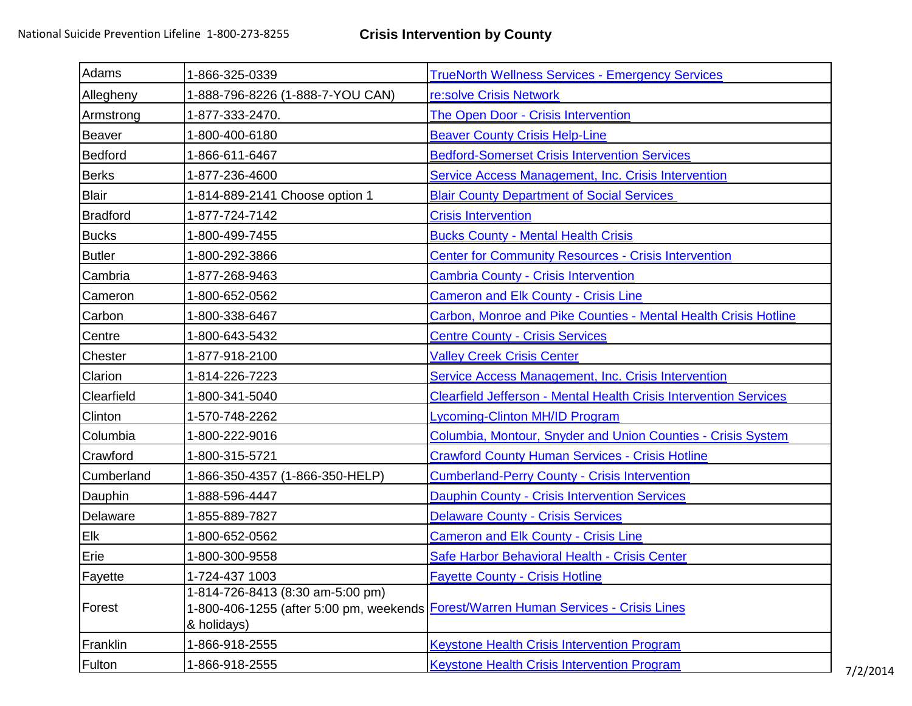| Adams           | 1-866-325-0339                                  | <b>TrueNorth Wellness Services - Emergency Services</b>                             |
|-----------------|-------------------------------------------------|-------------------------------------------------------------------------------------|
| Allegheny       | 1-888-796-8226 (1-888-7-YOU CAN)                | re:solve Crisis Network                                                             |
| Armstrong       | 1-877-333-2470.                                 | <b>The Open Door - Crisis Intervention</b>                                          |
| Beaver          | 1-800-400-6180                                  | <b>Beaver County Crisis Help-Line</b>                                               |
| Bedford         | 1-866-611-6467                                  | <b>Bedford-Somerset Crisis Intervention Services</b>                                |
| Berks           | 1-877-236-4600                                  | Service Access Management, Inc. Crisis Intervention                                 |
| <b>Blair</b>    | 1-814-889-2141 Choose option 1                  | <b>Blair County Department of Social Services</b>                                   |
| <b>Bradford</b> | 1-877-724-7142                                  | <b>Crisis Intervention</b>                                                          |
| <b>Bucks</b>    | 1-800-499-7455                                  | <b>Bucks County - Mental Health Crisis</b>                                          |
| <b>Butler</b>   | 1-800-292-3866                                  | <b>Center for Community Resources - Crisis Intervention</b>                         |
| Cambria         | 1-877-268-9463                                  | <b>Cambria County - Crisis Intervention</b>                                         |
| Cameron         | 1-800-652-0562                                  | <b>Cameron and Elk County - Crisis Line</b>                                         |
| Carbon          | 1-800-338-6467                                  | Carbon, Monroe and Pike Counties - Mental Health Crisis Hotline                     |
| Centre          | 1-800-643-5432                                  | <b>Centre County - Crisis Services</b>                                              |
| Chester         | 1-877-918-2100                                  | <b>Valley Creek Crisis Center</b>                                                   |
| Clarion         | 1-814-226-7223                                  | Service Access Management, Inc. Crisis Intervention                                 |
| Clearfield      | 1-800-341-5040                                  | <b>Clearfield Jefferson - Mental Health Crisis Intervention Services</b>            |
| Clinton         | 1-570-748-2262                                  | Lycoming-Clinton MH/ID Program                                                      |
| Columbia        | 1-800-222-9016                                  | Columbia, Montour, Snyder and Union Counties - Crisis System                        |
| Crawford        | 1-800-315-5721                                  | <b>Crawford County Human Services - Crisis Hotline</b>                              |
| Cumberland      | 1-866-350-4357 (1-866-350-HELP)                 | <b>Cumberland-Perry County - Crisis Intervention</b>                                |
| Dauphin         | 1-888-596-4447                                  | <b>Dauphin County - Crisis Intervention Services</b>                                |
| Delaware        | 1-855-889-7827                                  | <b>Delaware County - Crisis Services</b>                                            |
| Elk             | 1-800-652-0562                                  | <b>Cameron and Elk County - Crisis Line</b>                                         |
| Erie            | 1-800-300-9558                                  | Safe Harbor Behavioral Health - Crisis Center                                       |
| Fayette         | 1-724-437 1003                                  | <b>Fayette County - Crisis Hotline</b>                                              |
| Forest          | 1-814-726-8413 (8:30 am-5:00 pm)<br>& holidays) | 1-800-406-1255 (after 5:00 pm, weekends Forest/Warren Human Services - Crisis Lines |
| Franklin        | 1-866-918-2555                                  | <b>Keystone Health Crisis Intervention Program</b>                                  |
| Fulton          | 1-866-918-2555                                  | <b>Keystone Health Crisis Intervention Program</b>                                  |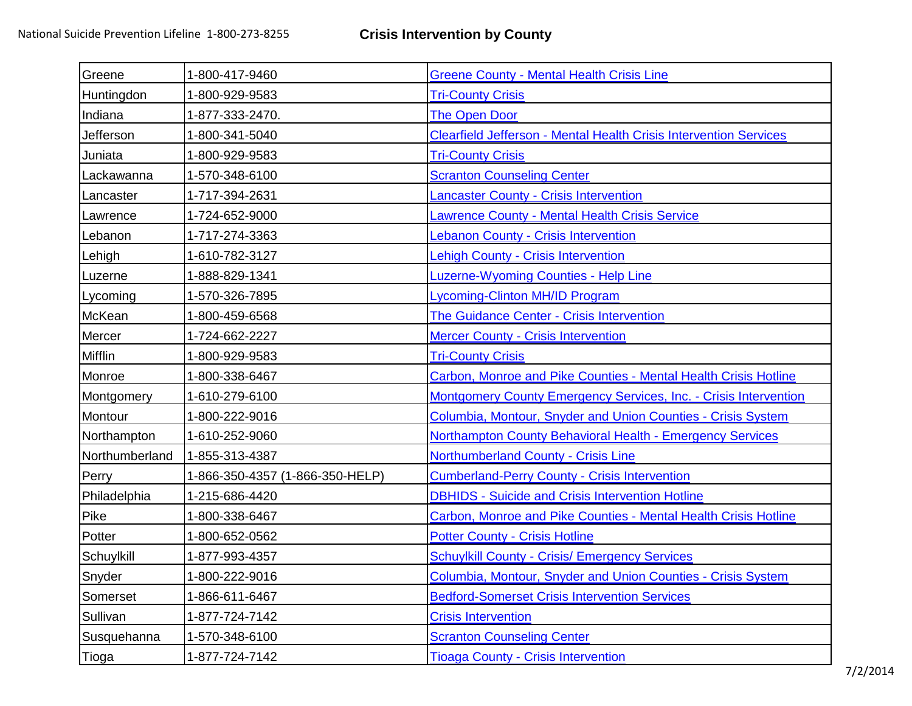| Greene         | 1-800-417-9460                  | <b>Greene County - Mental Health Crisis Line</b>                         |
|----------------|---------------------------------|--------------------------------------------------------------------------|
| Huntingdon     | 1-800-929-9583                  | <b>Tri-County Crisis</b>                                                 |
| Indiana        | 1-877-333-2470.                 | <b>The Open Door</b>                                                     |
| Jefferson      | 1-800-341-5040                  | <b>Clearfield Jefferson - Mental Health Crisis Intervention Services</b> |
| Juniata        | 1-800-929-9583                  | <b>Tri-County Crisis</b>                                                 |
| Lackawanna     | 1-570-348-6100                  | <b>Scranton Counseling Center</b>                                        |
| Lancaster      | 1-717-394-2631                  | <b>Lancaster County - Crisis Intervention</b>                            |
| Lawrence       | 1-724-652-9000                  | <b>Lawrence County - Mental Health Crisis Service</b>                    |
| Lebanon        | 1-717-274-3363                  | <b>Lebanon County - Crisis Intervention</b>                              |
| Lehigh         | 1-610-782-3127                  | <b>Lehigh County - Crisis Intervention</b>                               |
| Luzerne        | 1-888-829-1341                  | <b>Luzerne-Wyoming Counties - Help Line</b>                              |
| Lycoming       | 1-570-326-7895                  | <b>Lycoming-Clinton MH/ID Program</b>                                    |
| McKean         | 1-800-459-6568                  | The Guidance Center - Crisis Intervention                                |
| Mercer         | 1-724-662-2227                  | <b>Mercer County - Crisis Intervention</b>                               |
| <b>Mifflin</b> | 1-800-929-9583                  | <b>Tri-County Crisis</b>                                                 |
| Monroe         | 1-800-338-6467                  | Carbon, Monroe and Pike Counties - Mental Health Crisis Hotline          |
| Montgomery     | 1-610-279-6100                  | <b>Montgomery County Emergency Services, Inc. - Crisis Intervention</b>  |
| Montour        | 1-800-222-9016                  | Columbia, Montour, Snyder and Union Counties - Crisis System             |
| Northampton    | 1-610-252-9060                  | Northampton County Behavioral Health - Emergency Services                |
| Northumberland | 1-855-313-4387                  | <b>Northumberland County - Crisis Line</b>                               |
| Perry          | 1-866-350-4357 (1-866-350-HELP) | <b>Cumberland-Perry County - Crisis Intervention</b>                     |
| Philadelphia   | 1-215-686-4420                  | <b>DBHIDS - Suicide and Crisis Intervention Hotline</b>                  |
| Pike           | 1-800-338-6467                  | Carbon, Monroe and Pike Counties - Mental Health Crisis Hotline          |
| Potter         | 1-800-652-0562                  | <b>Potter County - Crisis Hotline</b>                                    |
| Schuylkill     | 1-877-993-4357                  | <b>Schuylkill County - Crisis/ Emergency Services</b>                    |
| Snyder         | 1-800-222-9016                  | Columbia, Montour, Snyder and Union Counties - Crisis System             |
| Somerset       | 1-866-611-6467                  | <b>Bedford-Somerset Crisis Intervention Services</b>                     |
| Sullivan       | 1-877-724-7142                  | <b>Crisis Intervention</b>                                               |
| Susquehanna    | 1-570-348-6100                  | <b>Scranton Counseling Center</b>                                        |
| Tioga          | 1-877-724-7142                  | <b>Tioaga County - Crisis Intervention</b>                               |